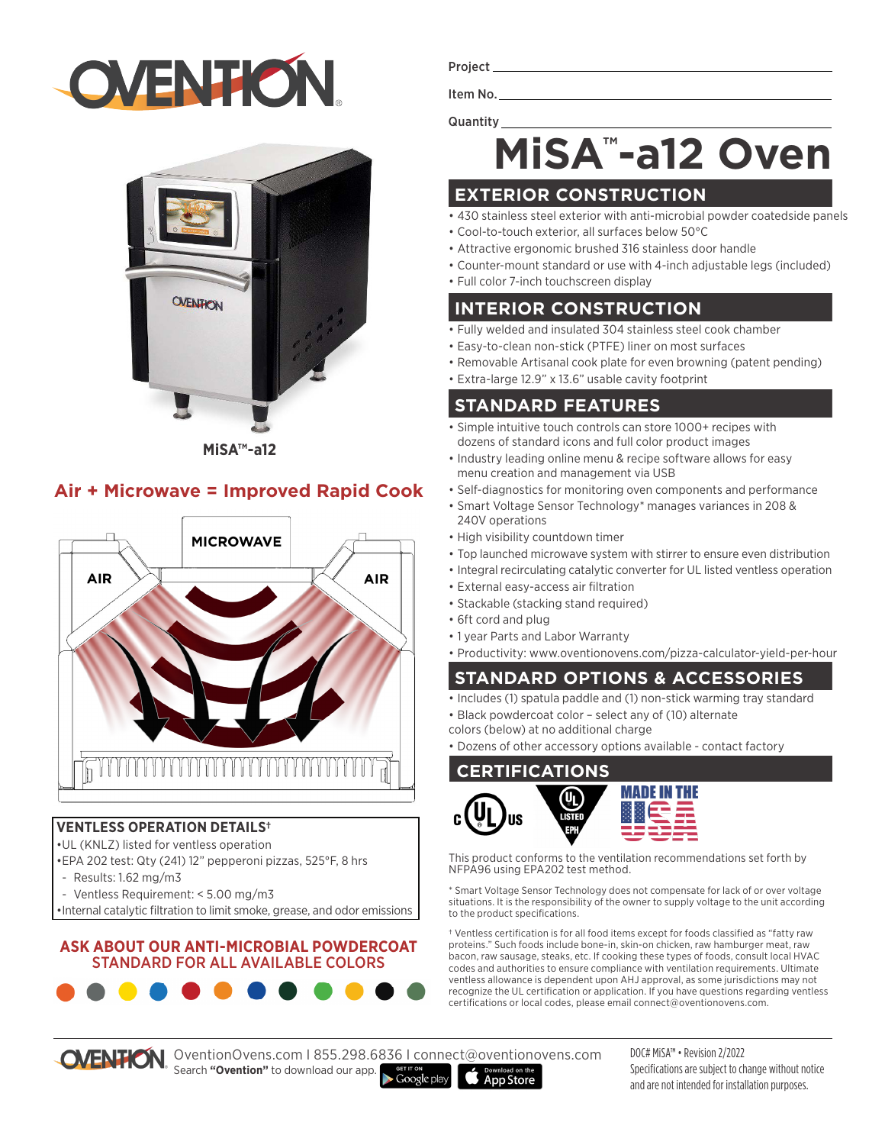# **OVENTION**



**MiSA™-a12**

#### **Air + Microwave = Improved Rapid Cook**



#### **VENTLESS OPERATION DETAILS†**

•UL (KNLZ) listed for ventless operation

•EPA 202 test: Qty (241) 12" pepperoni pizzas, 525°F, 8 hrs

**. .** .

- Results: 1.62 mg/m3
- Ventless Requirement: < 5.00 mg/m3
- •Internal catalytic filtration to limit smoke, grease, and odor emissions

#### **ASK ABOUT OUR ANTI-MICROBIAL POWDERCOAT**  STANDARD FOR ALL AVAILABLE COLORS

Project\_

Item No. Quantity

## **MiSA™ -a12 Oven**

### **EXTERIOR CONSTRUCTION**

- 430 stainless steel exterior with anti-microbial powder coatedside panels
- Cool-to-touch exterior, all surfaces below 50°C
- Attractive ergonomic brushed 316 stainless door handle
- Counter-mount standard or use with 4-inch adjustable legs (included)
- Full color 7-inch touchscreen display

#### **INTERIOR CONSTRUCTION**

- Fully welded and insulated 304 stainless steel cook chamber
- Easy-to-clean non-stick (PTFE) liner on most surfaces
- Removable Artisanal cook plate for even browning (patent pending)
- Extra-large 12.9" x 13.6" usable cavity footprint

#### **STANDARD FEATURES**

- Simple intuitive touch controls can store 1000+ recipes with dozens of standard icons and full color product images
- Industry leading online menu & recipe software allows for easy menu creation and management via USB
- Self-diagnostics for monitoring oven components and performance
- Smart Voltage Sensor Technology\* manages variances in 208 & 240V operations
- High visibility countdown timer
- Top launched microwave system with stirrer to ensure even distribution
- Integral recirculating catalytic converter for UL listed ventless operation
- External easy-access air filtration
- Stackable (stacking stand required)
- 6ft cord and plug
- 1 year Parts and Labor Warranty
- Productivity: www.oventionovens.com/pizza-calculator-yield-per-hour

### **STANDARD OPTIONS & ACCESSORIES**

- Includes (1) spatula paddle and (1) non-stick warming tray standard
- Black powdercoat color select any of (10) alternate
- colors (below) at no additional charge
- Dozens of other accessory options available contact factory

#### **CERTIFICATIONS**



This product conforms to the ventilation recommendations set forth by NFPA96 using EPA202 test method.

\* Smart Voltage Sensor Technology does not compensate for lack of or over voltage situations. It is the responsibility of the owner to supply voltage to the unit according to the product specifications.

† Ventless certification is for all food items except for foods classified as "fatty raw proteins." Such foods include bone-in, skin-on chicken, raw hamburger meat, raw bacon, raw sausage, steaks, etc. If cooking these types of foods, consult local HVAC codes and authorities to ensure compliance with ventilation requirements. Ultimate ventless allowance is dependent upon AHJ approval, as some jurisdictions may not recognize the UL certification or application. If you have questions regarding ventless certifications or local codes, please email connect@oventionovens.com.

OVENTION. OventionOvens.com | 855.298.6836 | connect@oventionovens.com Search **"Ovention"** to download our app.

DOC# MiSA™ • Revision 2/2022 Specifications are subject to change without notice and are not intended for installation purposes.